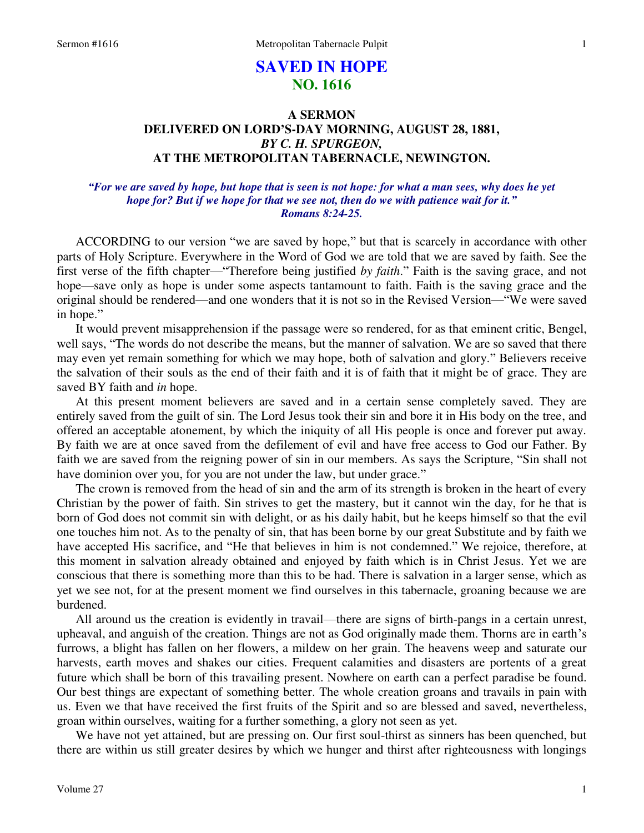# **SAVED IN HOPE NO. 1616**

## **A SERMON DELIVERED ON LORD'S-DAY MORNING, AUGUST 28, 1881,**  *BY C. H. SPURGEON,*  **AT THE METROPOLITAN TABERNACLE, NEWINGTON.**

## *"For we are saved by hope, but hope that is seen is not hope: for what a man sees, why does he yet hope for? But if we hope for that we see not, then do we with patience wait for it." Romans 8:24-25.*

 ACCORDING to our version "we are saved by hope," but that is scarcely in accordance with other parts of Holy Scripture. Everywhere in the Word of God we are told that we are saved by faith. See the first verse of the fifth chapter—"Therefore being justified *by faith*." Faith is the saving grace, and not hope—save only as hope is under some aspects tantamount to faith. Faith is the saving grace and the original should be rendered—and one wonders that it is not so in the Revised Version—"We were saved in hope."

 It would prevent misapprehension if the passage were so rendered, for as that eminent critic, Bengel, well says, "The words do not describe the means, but the manner of salvation. We are so saved that there may even yet remain something for which we may hope, both of salvation and glory." Believers receive the salvation of their souls as the end of their faith and it is of faith that it might be of grace. They are saved BY faith and *in* hope.

 At this present moment believers are saved and in a certain sense completely saved. They are entirely saved from the guilt of sin. The Lord Jesus took their sin and bore it in His body on the tree, and offered an acceptable atonement, by which the iniquity of all His people is once and forever put away. By faith we are at once saved from the defilement of evil and have free access to God our Father. By faith we are saved from the reigning power of sin in our members. As says the Scripture, "Sin shall not have dominion over you, for you are not under the law, but under grace."

 The crown is removed from the head of sin and the arm of its strength is broken in the heart of every Christian by the power of faith. Sin strives to get the mastery, but it cannot win the day, for he that is born of God does not commit sin with delight, or as his daily habit, but he keeps himself so that the evil one touches him not. As to the penalty of sin, that has been borne by our great Substitute and by faith we have accepted His sacrifice, and "He that believes in him is not condemned." We rejoice, therefore, at this moment in salvation already obtained and enjoyed by faith which is in Christ Jesus. Yet we are conscious that there is something more than this to be had. There is salvation in a larger sense, which as yet we see not, for at the present moment we find ourselves in this tabernacle, groaning because we are burdened.

 All around us the creation is evidently in travail—there are signs of birth-pangs in a certain unrest, upheaval, and anguish of the creation. Things are not as God originally made them. Thorns are in earth's furrows, a blight has fallen on her flowers, a mildew on her grain. The heavens weep and saturate our harvests, earth moves and shakes our cities. Frequent calamities and disasters are portents of a great future which shall be born of this travailing present. Nowhere on earth can a perfect paradise be found. Our best things are expectant of something better. The whole creation groans and travails in pain with us. Even we that have received the first fruits of the Spirit and so are blessed and saved, nevertheless, groan within ourselves, waiting for a further something, a glory not seen as yet.

 We have not yet attained, but are pressing on. Our first soul-thirst as sinners has been quenched, but there are within us still greater desires by which we hunger and thirst after righteousness with longings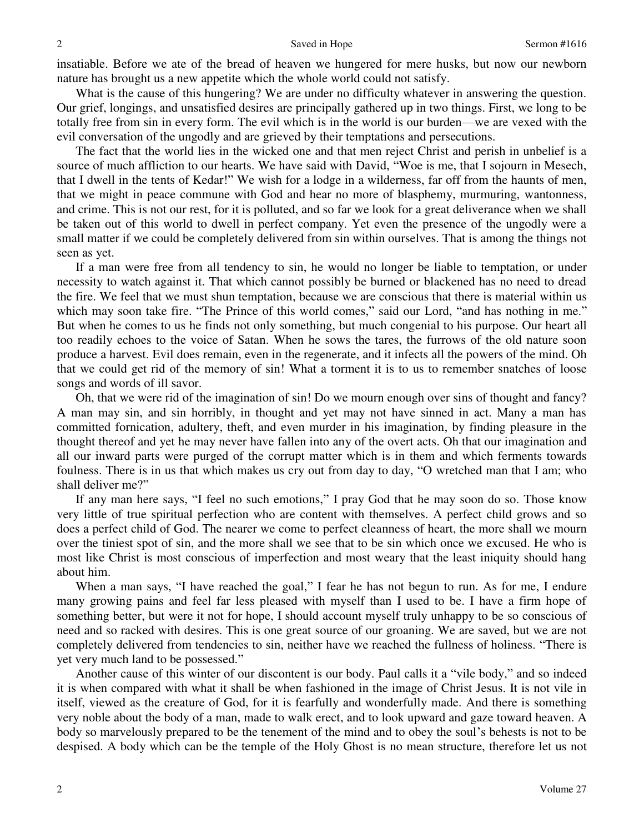insatiable. Before we ate of the bread of heaven we hungered for mere husks, but now our newborn nature has brought us a new appetite which the whole world could not satisfy.

What is the cause of this hungering? We are under no difficulty whatever in answering the question. Our grief, longings, and unsatisfied desires are principally gathered up in two things. First, we long to be totally free from sin in every form. The evil which is in the world is our burden—we are vexed with the evil conversation of the ungodly and are grieved by their temptations and persecutions.

 The fact that the world lies in the wicked one and that men reject Christ and perish in unbelief is a source of much affliction to our hearts. We have said with David, "Woe is me, that I sojourn in Mesech, that I dwell in the tents of Kedar!" We wish for a lodge in a wilderness, far off from the haunts of men, that we might in peace commune with God and hear no more of blasphemy, murmuring, wantonness, and crime. This is not our rest, for it is polluted, and so far we look for a great deliverance when we shall be taken out of this world to dwell in perfect company. Yet even the presence of the ungodly were a small matter if we could be completely delivered from sin within ourselves. That is among the things not seen as yet.

 If a man were free from all tendency to sin, he would no longer be liable to temptation, or under necessity to watch against it. That which cannot possibly be burned or blackened has no need to dread the fire. We feel that we must shun temptation, because we are conscious that there is material within us which may soon take fire. "The Prince of this world comes," said our Lord, "and has nothing in me." But when he comes to us he finds not only something, but much congenial to his purpose. Our heart all too readily echoes to the voice of Satan. When he sows the tares, the furrows of the old nature soon produce a harvest. Evil does remain, even in the regenerate, and it infects all the powers of the mind. Oh that we could get rid of the memory of sin! What a torment it is to us to remember snatches of loose songs and words of ill savor.

 Oh, that we were rid of the imagination of sin! Do we mourn enough over sins of thought and fancy? A man may sin, and sin horribly, in thought and yet may not have sinned in act. Many a man has committed fornication, adultery, theft, and even murder in his imagination, by finding pleasure in the thought thereof and yet he may never have fallen into any of the overt acts. Oh that our imagination and all our inward parts were purged of the corrupt matter which is in them and which ferments towards foulness. There is in us that which makes us cry out from day to day, "O wretched man that I am; who shall deliver me?"

 If any man here says, "I feel no such emotions," I pray God that he may soon do so. Those know very little of true spiritual perfection who are content with themselves. A perfect child grows and so does a perfect child of God. The nearer we come to perfect cleanness of heart, the more shall we mourn over the tiniest spot of sin, and the more shall we see that to be sin which once we excused. He who is most like Christ is most conscious of imperfection and most weary that the least iniquity should hang about him.

When a man says, "I have reached the goal," I fear he has not begun to run. As for me, I endure many growing pains and feel far less pleased with myself than I used to be. I have a firm hope of something better, but were it not for hope, I should account myself truly unhappy to be so conscious of need and so racked with desires. This is one great source of our groaning. We are saved, but we are not completely delivered from tendencies to sin, neither have we reached the fullness of holiness. "There is yet very much land to be possessed."

 Another cause of this winter of our discontent is our body. Paul calls it a "vile body," and so indeed it is when compared with what it shall be when fashioned in the image of Christ Jesus. It is not vile in itself, viewed as the creature of God, for it is fearfully and wonderfully made. And there is something very noble about the body of a man, made to walk erect, and to look upward and gaze toward heaven. A body so marvelously prepared to be the tenement of the mind and to obey the soul's behests is not to be despised. A body which can be the temple of the Holy Ghost is no mean structure, therefore let us not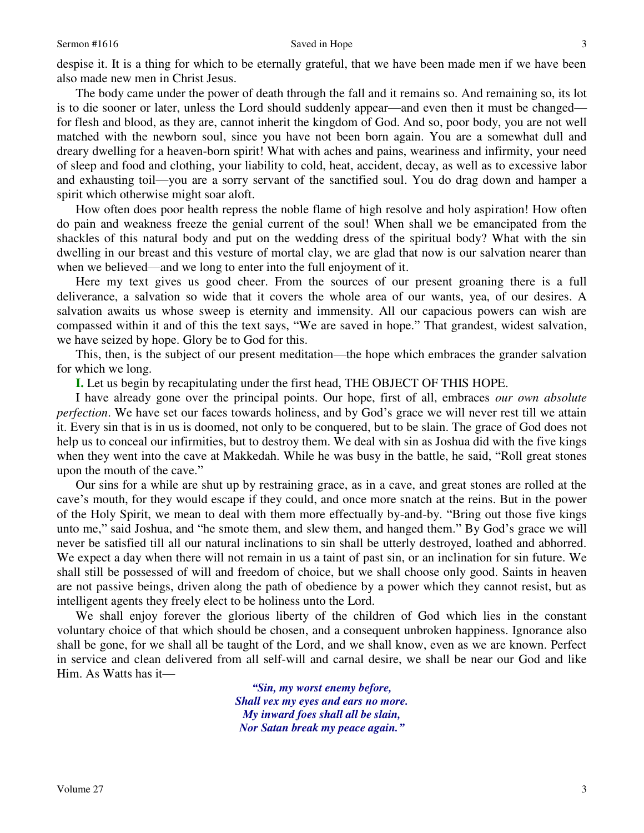despise it. It is a thing for which to be eternally grateful, that we have been made men if we have been also made new men in Christ Jesus.

 The body came under the power of death through the fall and it remains so. And remaining so, its lot is to die sooner or later, unless the Lord should suddenly appear—and even then it must be changed for flesh and blood, as they are, cannot inherit the kingdom of God. And so, poor body, you are not well matched with the newborn soul, since you have not been born again. You are a somewhat dull and dreary dwelling for a heaven-born spirit! What with aches and pains, weariness and infirmity, your need of sleep and food and clothing, your liability to cold, heat, accident, decay, as well as to excessive labor and exhausting toil—you are a sorry servant of the sanctified soul. You do drag down and hamper a spirit which otherwise might soar aloft.

 How often does poor health repress the noble flame of high resolve and holy aspiration! How often do pain and weakness freeze the genial current of the soul! When shall we be emancipated from the shackles of this natural body and put on the wedding dress of the spiritual body? What with the sin dwelling in our breast and this vesture of mortal clay, we are glad that now is our salvation nearer than when we believed—and we long to enter into the full enjoyment of it.

 Here my text gives us good cheer. From the sources of our present groaning there is a full deliverance, a salvation so wide that it covers the whole area of our wants, yea, of our desires. A salvation awaits us whose sweep is eternity and immensity. All our capacious powers can wish are compassed within it and of this the text says, "We are saved in hope." That grandest, widest salvation, we have seized by hope. Glory be to God for this.

 This, then, is the subject of our present meditation—the hope which embraces the grander salvation for which we long.

**I.** Let us begin by recapitulating under the first head, THE OBJECT OF THIS HOPE.

 I have already gone over the principal points. Our hope, first of all, embraces *our own absolute perfection*. We have set our faces towards holiness, and by God's grace we will never rest till we attain it. Every sin that is in us is doomed, not only to be conquered, but to be slain. The grace of God does not help us to conceal our infirmities, but to destroy them. We deal with sin as Joshua did with the five kings when they went into the cave at Makkedah. While he was busy in the battle, he said, "Roll great stones upon the mouth of the cave."

 Our sins for a while are shut up by restraining grace, as in a cave, and great stones are rolled at the cave's mouth, for they would escape if they could, and once more snatch at the reins. But in the power of the Holy Spirit, we mean to deal with them more effectually by-and-by. "Bring out those five kings unto me," said Joshua, and "he smote them, and slew them, and hanged them." By God's grace we will never be satisfied till all our natural inclinations to sin shall be utterly destroyed, loathed and abhorred. We expect a day when there will not remain in us a taint of past sin, or an inclination for sin future. We shall still be possessed of will and freedom of choice, but we shall choose only good. Saints in heaven are not passive beings, driven along the path of obedience by a power which they cannot resist, but as intelligent agents they freely elect to be holiness unto the Lord.

 We shall enjoy forever the glorious liberty of the children of God which lies in the constant voluntary choice of that which should be chosen, and a consequent unbroken happiness. Ignorance also shall be gone, for we shall all be taught of the Lord, and we shall know, even as we are known. Perfect in service and clean delivered from all self-will and carnal desire, we shall be near our God and like Him. As Watts has it—

> *"Sin, my worst enemy before, Shall vex my eyes and ears no more. My inward foes shall all be slain, Nor Satan break my peace again."*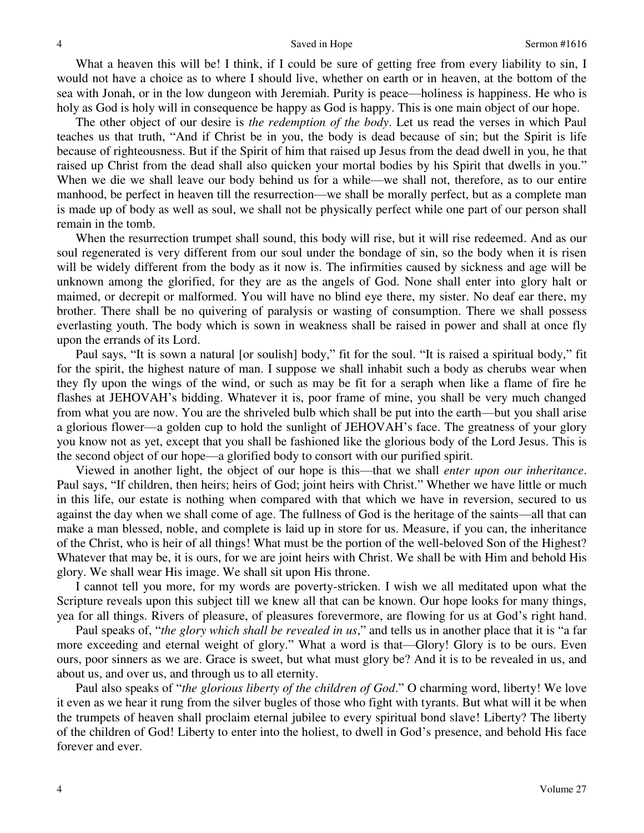### 4 Saved in Hope Sermon #1616

What a heaven this will be! I think, if I could be sure of getting free from every liability to sin, I would not have a choice as to where I should live, whether on earth or in heaven, at the bottom of the sea with Jonah, or in the low dungeon with Jeremiah. Purity is peace—holiness is happiness. He who is holy as God is holy will in consequence be happy as God is happy. This is one main object of our hope.

 The other object of our desire is *the redemption of the body*. Let us read the verses in which Paul teaches us that truth, "And if Christ be in you, the body is dead because of sin; but the Spirit is life because of righteousness. But if the Spirit of him that raised up Jesus from the dead dwell in you, he that raised up Christ from the dead shall also quicken your mortal bodies by his Spirit that dwells in you." When we die we shall leave our body behind us for a while—we shall not, therefore, as to our entire manhood, be perfect in heaven till the resurrection—we shall be morally perfect, but as a complete man is made up of body as well as soul, we shall not be physically perfect while one part of our person shall remain in the tomb.

 When the resurrection trumpet shall sound, this body will rise, but it will rise redeemed. And as our soul regenerated is very different from our soul under the bondage of sin, so the body when it is risen will be widely different from the body as it now is. The infirmities caused by sickness and age will be unknown among the glorified, for they are as the angels of God. None shall enter into glory halt or maimed, or decrepit or malformed. You will have no blind eye there, my sister. No deaf ear there, my brother. There shall be no quivering of paralysis or wasting of consumption. There we shall possess everlasting youth. The body which is sown in weakness shall be raised in power and shall at once fly upon the errands of its Lord.

 Paul says, "It is sown a natural [or soulish] body," fit for the soul. "It is raised a spiritual body," fit for the spirit, the highest nature of man. I suppose we shall inhabit such a body as cherubs wear when they fly upon the wings of the wind, or such as may be fit for a seraph when like a flame of fire he flashes at JEHOVAH's bidding. Whatever it is, poor frame of mine, you shall be very much changed from what you are now. You are the shriveled bulb which shall be put into the earth—but you shall arise a glorious flower—a golden cup to hold the sunlight of JEHOVAH's face. The greatness of your glory you know not as yet, except that you shall be fashioned like the glorious body of the Lord Jesus. This is the second object of our hope—a glorified body to consort with our purified spirit.

 Viewed in another light, the object of our hope is this—that we shall *enter upon our inheritance*. Paul says, "If children, then heirs; heirs of God; joint heirs with Christ." Whether we have little or much in this life, our estate is nothing when compared with that which we have in reversion, secured to us against the day when we shall come of age. The fullness of God is the heritage of the saints—all that can make a man blessed, noble, and complete is laid up in store for us. Measure, if you can, the inheritance of the Christ, who is heir of all things! What must be the portion of the well-beloved Son of the Highest? Whatever that may be, it is ours, for we are joint heirs with Christ. We shall be with Him and behold His glory. We shall wear His image. We shall sit upon His throne.

 I cannot tell you more, for my words are poverty-stricken. I wish we all meditated upon what the Scripture reveals upon this subject till we knew all that can be known. Our hope looks for many things, yea for all things. Rivers of pleasure, of pleasures forevermore, are flowing for us at God's right hand.

 Paul speaks of, "*the glory which shall be revealed in us*," and tells us in another place that it is "a far more exceeding and eternal weight of glory." What a word is that—Glory! Glory is to be ours. Even ours, poor sinners as we are. Grace is sweet, but what must glory be? And it is to be revealed in us, and about us, and over us, and through us to all eternity.

 Paul also speaks of "*the glorious liberty of the children of God*." O charming word, liberty! We love it even as we hear it rung from the silver bugles of those who fight with tyrants. But what will it be when the trumpets of heaven shall proclaim eternal jubilee to every spiritual bond slave! Liberty? The liberty of the children of God! Liberty to enter into the holiest, to dwell in God's presence, and behold His face forever and ever.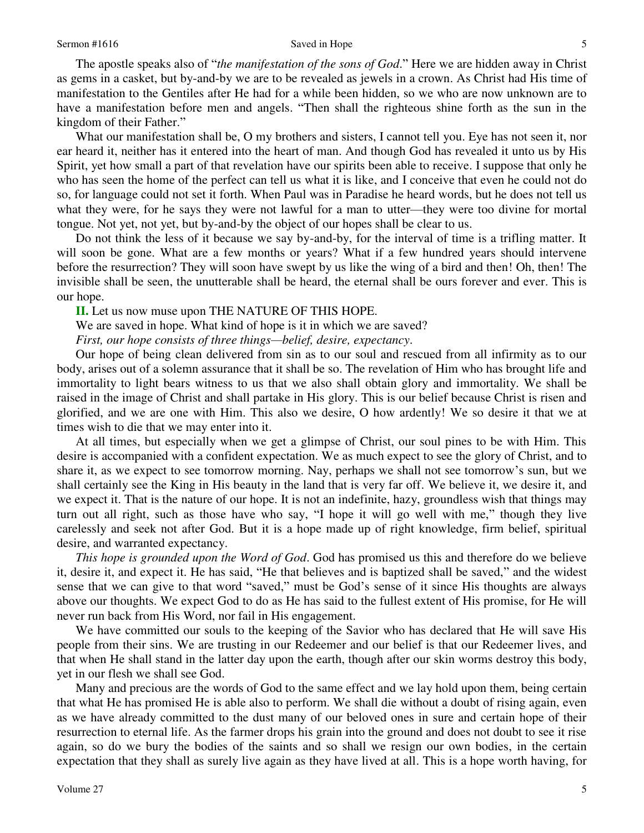### Sermon #1616 Saved in Hope 5

 The apostle speaks also of "*the manifestation of the sons of God*." Here we are hidden away in Christ as gems in a casket, but by-and-by we are to be revealed as jewels in a crown. As Christ had His time of manifestation to the Gentiles after He had for a while been hidden, so we who are now unknown are to have a manifestation before men and angels. "Then shall the righteous shine forth as the sun in the kingdom of their Father."

What our manifestation shall be, O my brothers and sisters, I cannot tell you. Eye has not seen it, nor ear heard it, neither has it entered into the heart of man. And though God has revealed it unto us by His Spirit, yet how small a part of that revelation have our spirits been able to receive. I suppose that only he who has seen the home of the perfect can tell us what it is like, and I conceive that even he could not do so, for language could not set it forth. When Paul was in Paradise he heard words, but he does not tell us what they were, for he says they were not lawful for a man to utter—they were too divine for mortal tongue. Not yet, not yet, but by-and-by the object of our hopes shall be clear to us.

 Do not think the less of it because we say by-and-by, for the interval of time is a trifling matter. It will soon be gone. What are a few months or years? What if a few hundred years should intervene before the resurrection? They will soon have swept by us like the wing of a bird and then! Oh, then! The invisible shall be seen, the unutterable shall be heard, the eternal shall be ours forever and ever. This is our hope.

### **II.** Let us now muse upon THE NATURE OF THIS HOPE.

We are saved in hope. What kind of hope is it in which we are saved?

*First, our hope consists of three things—belief, desire, expectancy*.

 Our hope of being clean delivered from sin as to our soul and rescued from all infirmity as to our body, arises out of a solemn assurance that it shall be so. The revelation of Him who has brought life and immortality to light bears witness to us that we also shall obtain glory and immortality. We shall be raised in the image of Christ and shall partake in His glory. This is our belief because Christ is risen and glorified, and we are one with Him. This also we desire, O how ardently! We so desire it that we at times wish to die that we may enter into it.

 At all times, but especially when we get a glimpse of Christ, our soul pines to be with Him. This desire is accompanied with a confident expectation. We as much expect to see the glory of Christ, and to share it, as we expect to see tomorrow morning. Nay, perhaps we shall not see tomorrow's sun, but we shall certainly see the King in His beauty in the land that is very far off. We believe it, we desire it, and we expect it. That is the nature of our hope. It is not an indefinite, hazy, groundless wish that things may turn out all right, such as those have who say, "I hope it will go well with me," though they live carelessly and seek not after God. But it is a hope made up of right knowledge, firm belief, spiritual desire, and warranted expectancy.

*This hope is grounded upon the Word of God*. God has promised us this and therefore do we believe it, desire it, and expect it. He has said, "He that believes and is baptized shall be saved," and the widest sense that we can give to that word "saved," must be God's sense of it since His thoughts are always above our thoughts. We expect God to do as He has said to the fullest extent of His promise, for He will never run back from His Word, nor fail in His engagement.

 We have committed our souls to the keeping of the Savior who has declared that He will save His people from their sins. We are trusting in our Redeemer and our belief is that our Redeemer lives, and that when He shall stand in the latter day upon the earth, though after our skin worms destroy this body, yet in our flesh we shall see God.

 Many and precious are the words of God to the same effect and we lay hold upon them, being certain that what He has promised He is able also to perform. We shall die without a doubt of rising again, even as we have already committed to the dust many of our beloved ones in sure and certain hope of their resurrection to eternal life. As the farmer drops his grain into the ground and does not doubt to see it rise again, so do we bury the bodies of the saints and so shall we resign our own bodies, in the certain expectation that they shall as surely live again as they have lived at all. This is a hope worth having, for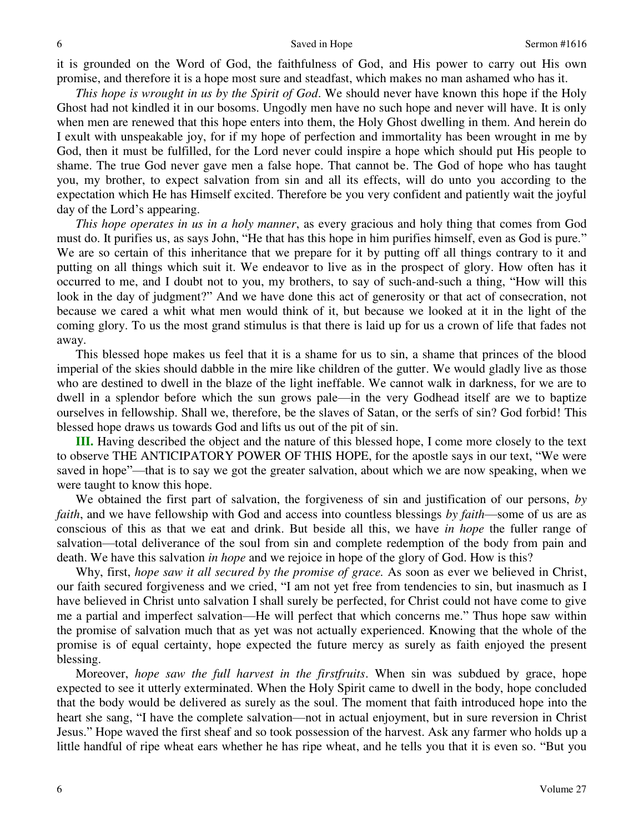it is grounded on the Word of God, the faithfulness of God, and His power to carry out His own promise, and therefore it is a hope most sure and steadfast, which makes no man ashamed who has it.

*This hope is wrought in us by the Spirit of God*. We should never have known this hope if the Holy Ghost had not kindled it in our bosoms. Ungodly men have no such hope and never will have. It is only when men are renewed that this hope enters into them, the Holy Ghost dwelling in them. And herein do I exult with unspeakable joy, for if my hope of perfection and immortality has been wrought in me by God, then it must be fulfilled, for the Lord never could inspire a hope which should put His people to shame. The true God never gave men a false hope. That cannot be. The God of hope who has taught you, my brother, to expect salvation from sin and all its effects, will do unto you according to the expectation which He has Himself excited. Therefore be you very confident and patiently wait the joyful day of the Lord's appearing.

*This hope operates in us in a holy manner*, as every gracious and holy thing that comes from God must do. It purifies us, as says John, "He that has this hope in him purifies himself, even as God is pure." We are so certain of this inheritance that we prepare for it by putting off all things contrary to it and putting on all things which suit it. We endeavor to live as in the prospect of glory. How often has it occurred to me, and I doubt not to you, my brothers, to say of such-and-such a thing, "How will this look in the day of judgment?" And we have done this act of generosity or that act of consecration, not because we cared a whit what men would think of it, but because we looked at it in the light of the coming glory. To us the most grand stimulus is that there is laid up for us a crown of life that fades not away.

This blessed hope makes us feel that it is a shame for us to sin, a shame that princes of the blood imperial of the skies should dabble in the mire like children of the gutter. We would gladly live as those who are destined to dwell in the blaze of the light ineffable. We cannot walk in darkness, for we are to dwell in a splendor before which the sun grows pale—in the very Godhead itself are we to baptize ourselves in fellowship. Shall we, therefore, be the slaves of Satan, or the serfs of sin? God forbid! This blessed hope draws us towards God and lifts us out of the pit of sin.

**III.** Having described the object and the nature of this blessed hope, I come more closely to the text to observe THE ANTICIPATORY POWER OF THIS HOPE, for the apostle says in our text, "We were saved in hope"—that is to say we got the greater salvation, about which we are now speaking, when we were taught to know this hope.

 We obtained the first part of salvation, the forgiveness of sin and justification of our persons, *by faith*, and we have fellowship with God and access into countless blessings *by faith*—some of us are as conscious of this as that we eat and drink. But beside all this, we have *in hope* the fuller range of salvation—total deliverance of the soul from sin and complete redemption of the body from pain and death. We have this salvation *in hope* and we rejoice in hope of the glory of God. How is this?

 Why, first, *hope saw it all secured by the promise of grace.* As soon as ever we believed in Christ, our faith secured forgiveness and we cried, "I am not yet free from tendencies to sin, but inasmuch as I have believed in Christ unto salvation I shall surely be perfected, for Christ could not have come to give me a partial and imperfect salvation—He will perfect that which concerns me." Thus hope saw within the promise of salvation much that as yet was not actually experienced. Knowing that the whole of the promise is of equal certainty, hope expected the future mercy as surely as faith enjoyed the present blessing.

 Moreover, *hope saw the full harvest in the firstfruits*. When sin was subdued by grace, hope expected to see it utterly exterminated. When the Holy Spirit came to dwell in the body, hope concluded that the body would be delivered as surely as the soul. The moment that faith introduced hope into the heart she sang, "I have the complete salvation—not in actual enjoyment, but in sure reversion in Christ Jesus." Hope waved the first sheaf and so took possession of the harvest. Ask any farmer who holds up a little handful of ripe wheat ears whether he has ripe wheat, and he tells you that it is even so. "But you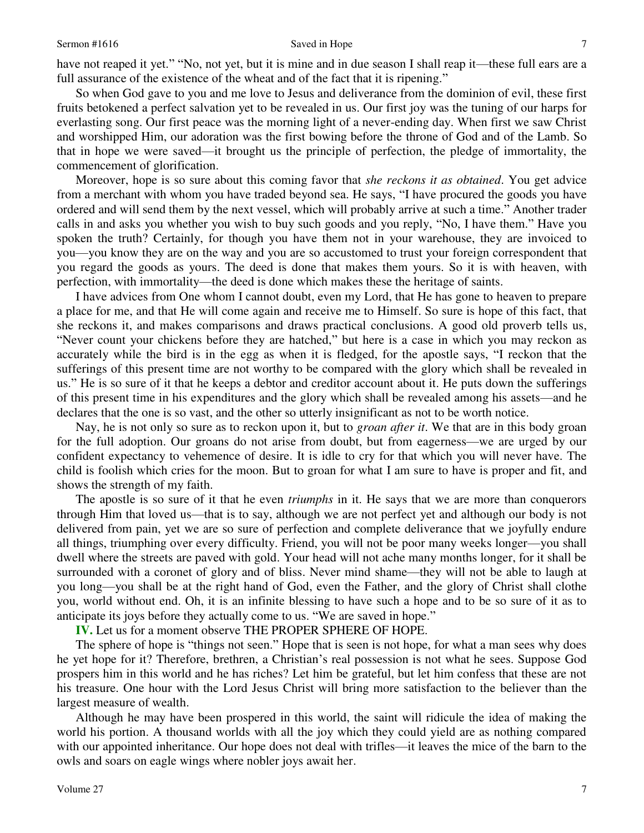have not reaped it yet." "No, not yet, but it is mine and in due season I shall reap it—these full ears are a full assurance of the existence of the wheat and of the fact that it is ripening."

 So when God gave to you and me love to Jesus and deliverance from the dominion of evil, these first fruits betokened a perfect salvation yet to be revealed in us. Our first joy was the tuning of our harps for everlasting song. Our first peace was the morning light of a never-ending day. When first we saw Christ and worshipped Him, our adoration was the first bowing before the throne of God and of the Lamb. So that in hope we were saved—it brought us the principle of perfection, the pledge of immortality, the commencement of glorification.

 Moreover, hope is so sure about this coming favor that *she reckons it as obtained*. You get advice from a merchant with whom you have traded beyond sea. He says, "I have procured the goods you have ordered and will send them by the next vessel, which will probably arrive at such a time." Another trader calls in and asks you whether you wish to buy such goods and you reply, "No, I have them." Have you spoken the truth? Certainly, for though you have them not in your warehouse, they are invoiced to you—you know they are on the way and you are so accustomed to trust your foreign correspondent that you regard the goods as yours. The deed is done that makes them yours. So it is with heaven, with perfection, with immortality—the deed is done which makes these the heritage of saints.

 I have advices from One whom I cannot doubt, even my Lord, that He has gone to heaven to prepare a place for me, and that He will come again and receive me to Himself. So sure is hope of this fact, that she reckons it, and makes comparisons and draws practical conclusions. A good old proverb tells us, "Never count your chickens before they are hatched," but here is a case in which you may reckon as accurately while the bird is in the egg as when it is fledged, for the apostle says, "I reckon that the sufferings of this present time are not worthy to be compared with the glory which shall be revealed in us." He is so sure of it that he keeps a debtor and creditor account about it. He puts down the sufferings of this present time in his expenditures and the glory which shall be revealed among his assets—and he declares that the one is so vast, and the other so utterly insignificant as not to be worth notice.

 Nay, he is not only so sure as to reckon upon it, but to *groan after it*. We that are in this body groan for the full adoption. Our groans do not arise from doubt, but from eagerness—we are urged by our confident expectancy to vehemence of desire. It is idle to cry for that which you will never have. The child is foolish which cries for the moon. But to groan for what I am sure to have is proper and fit, and shows the strength of my faith.

 The apostle is so sure of it that he even *triumphs* in it. He says that we are more than conquerors through Him that loved us—that is to say, although we are not perfect yet and although our body is not delivered from pain, yet we are so sure of perfection and complete deliverance that we joyfully endure all things, triumphing over every difficulty. Friend, you will not be poor many weeks longer—you shall dwell where the streets are paved with gold. Your head will not ache many months longer, for it shall be surrounded with a coronet of glory and of bliss. Never mind shame—they will not be able to laugh at you long—you shall be at the right hand of God, even the Father, and the glory of Christ shall clothe you, world without end. Oh, it is an infinite blessing to have such a hope and to be so sure of it as to anticipate its joys before they actually come to us. "We are saved in hope."

**IV.** Let us for a moment observe THE PROPER SPHERE OF HOPE.

 The sphere of hope is "things not seen." Hope that is seen is not hope, for what a man sees why does he yet hope for it? Therefore, brethren, a Christian's real possession is not what he sees. Suppose God prospers him in this world and he has riches? Let him be grateful, but let him confess that these are not his treasure. One hour with the Lord Jesus Christ will bring more satisfaction to the believer than the largest measure of wealth.

 Although he may have been prospered in this world, the saint will ridicule the idea of making the world his portion. A thousand worlds with all the joy which they could yield are as nothing compared with our appointed inheritance. Our hope does not deal with trifles—it leaves the mice of the barn to the owls and soars on eagle wings where nobler joys await her.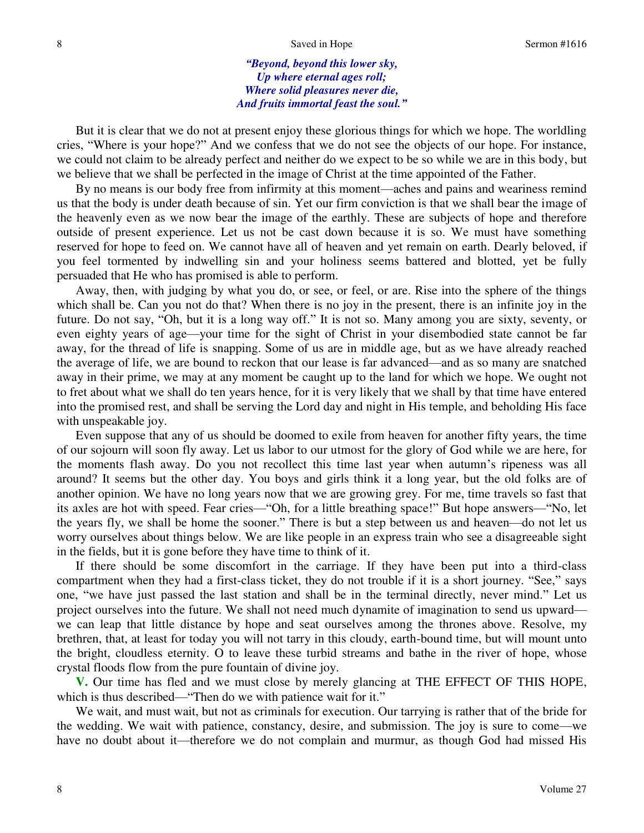*"Beyond, beyond this lower sky, Up where eternal ages roll; Where solid pleasures never die, And fruits immortal feast the soul."*

 But it is clear that we do not at present enjoy these glorious things for which we hope. The worldling cries, "Where is your hope?" And we confess that we do not see the objects of our hope. For instance, we could not claim to be already perfect and neither do we expect to be so while we are in this body, but we believe that we shall be perfected in the image of Christ at the time appointed of the Father.

 By no means is our body free from infirmity at this moment—aches and pains and weariness remind us that the body is under death because of sin. Yet our firm conviction is that we shall bear the image of the heavenly even as we now bear the image of the earthly. These are subjects of hope and therefore outside of present experience. Let us not be cast down because it is so. We must have something reserved for hope to feed on. We cannot have all of heaven and yet remain on earth. Dearly beloved, if you feel tormented by indwelling sin and your holiness seems battered and blotted, yet be fully persuaded that He who has promised is able to perform.

 Away, then, with judging by what you do, or see, or feel, or are. Rise into the sphere of the things which shall be. Can you not do that? When there is no joy in the present, there is an infinite joy in the future. Do not say, "Oh, but it is a long way off." It is not so. Many among you are sixty, seventy, or even eighty years of age—your time for the sight of Christ in your disembodied state cannot be far away, for the thread of life is snapping. Some of us are in middle age, but as we have already reached the average of life, we are bound to reckon that our lease is far advanced—and as so many are snatched away in their prime, we may at any moment be caught up to the land for which we hope. We ought not to fret about what we shall do ten years hence, for it is very likely that we shall by that time have entered into the promised rest, and shall be serving the Lord day and night in His temple, and beholding His face with unspeakable joy.

 Even suppose that any of us should be doomed to exile from heaven for another fifty years, the time of our sojourn will soon fly away. Let us labor to our utmost for the glory of God while we are here, for the moments flash away. Do you not recollect this time last year when autumn's ripeness was all around? It seems but the other day. You boys and girls think it a long year, but the old folks are of another opinion. We have no long years now that we are growing grey. For me, time travels so fast that its axles are hot with speed. Fear cries—"Oh, for a little breathing space!" But hope answers—"No, let the years fly, we shall be home the sooner." There is but a step between us and heaven—do not let us worry ourselves about things below. We are like people in an express train who see a disagreeable sight in the fields, but it is gone before they have time to think of it.

 If there should be some discomfort in the carriage. If they have been put into a third-class compartment when they had a first-class ticket, they do not trouble if it is a short journey. "See," says one, "we have just passed the last station and shall be in the terminal directly, never mind." Let us project ourselves into the future. We shall not need much dynamite of imagination to send us upward we can leap that little distance by hope and seat ourselves among the thrones above. Resolve, my brethren, that, at least for today you will not tarry in this cloudy, earth-bound time, but will mount unto the bright, cloudless eternity. O to leave these turbid streams and bathe in the river of hope, whose crystal floods flow from the pure fountain of divine joy.

**V.** Our time has fled and we must close by merely glancing at THE EFFECT OF THIS HOPE, which is thus described—"Then do we with patience wait for it."

 We wait, and must wait, but not as criminals for execution. Our tarrying is rather that of the bride for the wedding. We wait with patience, constancy, desire, and submission. The joy is sure to come—we have no doubt about it—therefore we do not complain and murmur, as though God had missed His